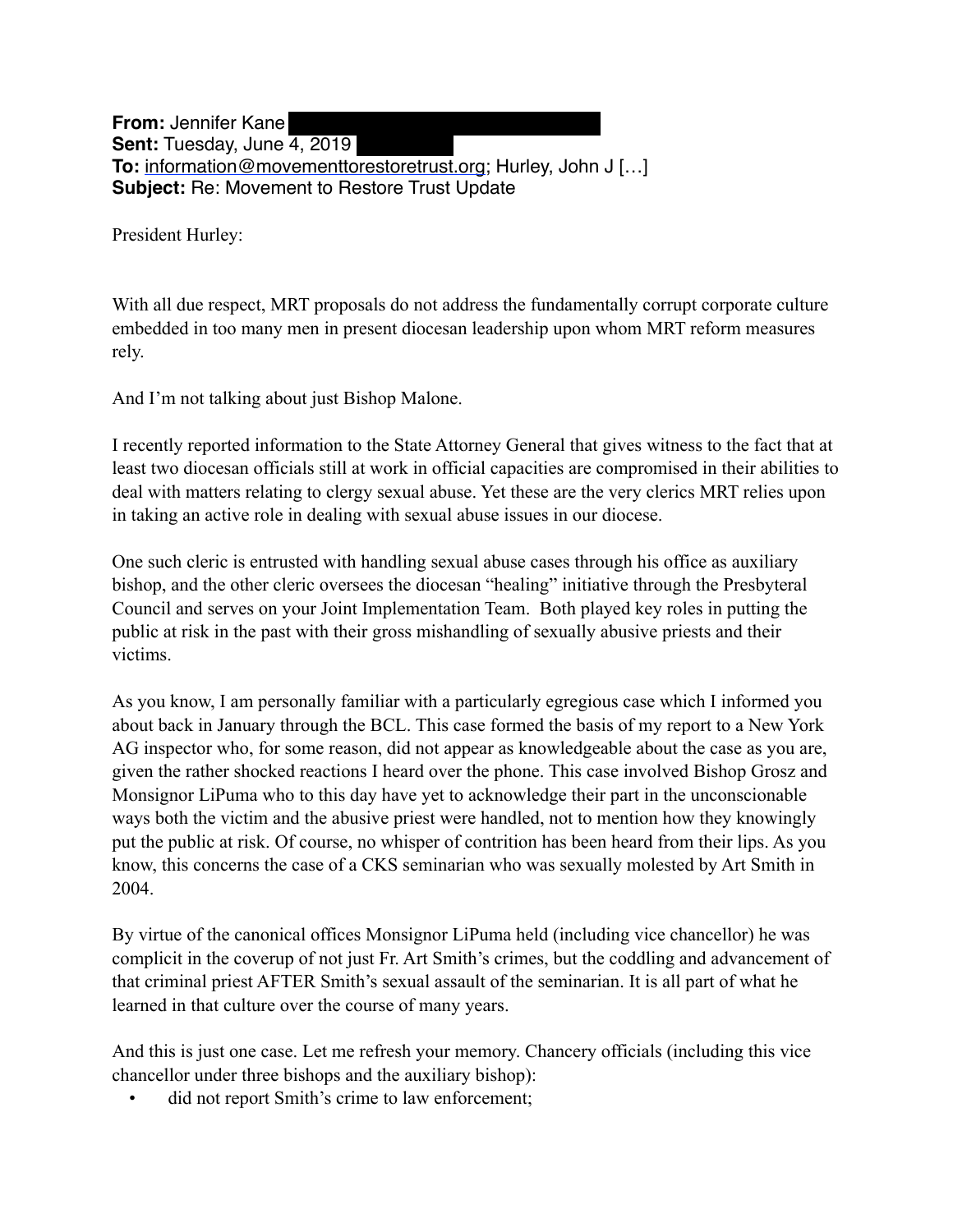**From:** Jennifer Kane **Sent:** Tuesday, June 4, 2019 **To:** [information@movementtorestoretrust.org](mailto:information@movementtorestoretrust.org); Hurley, John J […] **Subject:** Re: Movement to Restore Trust Update

President Hurley:

With all due respect, MRT proposals do not address the fundamentally corrupt corporate culture embedded in too many men in present diocesan leadership upon whom MRT reform measures rely.

And I'm not talking about just Bishop Malone.

I recently reported information to the State Attorney General that gives witness to the fact that at least two diocesan officials still at work in official capacities are compromised in their abilities to deal with matters relating to clergy sexual abuse. Yet these are the very clerics MRT relies upon in taking an active role in dealing with sexual abuse issues in our diocese.

One such cleric is entrusted with handling sexual abuse cases through his office as auxiliary bishop, and the other cleric oversees the diocesan "healing" initiative through the Presbyteral Council and serves on your Joint Implementation Team. Both played key roles in putting the public at risk in the past with their gross mishandling of sexually abusive priests and their victims.

As you know, I am personally familiar with a particularly egregious case which I informed you about back in January through the BCL. This case formed the basis of my report to a New York AG inspector who, for some reason, did not appear as knowledgeable about the case as you are, given the rather shocked reactions I heard over the phone. This case involved Bishop Grosz and Monsignor LiPuma who to this day have yet to acknowledge their part in the unconscionable ways both the victim and the abusive priest were handled, not to mention how they knowingly put the public at risk. Of course, no whisper of contrition has been heard from their lips. As you know, this concerns the case of a CKS seminarian who was sexually molested by Art Smith in 2004.

By virtue of the canonical offices Monsignor LiPuma held (including vice chancellor) he was complicit in the coverup of not just Fr. Art Smith's crimes, but the coddling and advancement of that criminal priest AFTER Smith's sexual assault of the seminarian. It is all part of what he learned in that culture over the course of many years.

And this is just one case. Let me refresh your memory. Chancery officials (including this vice chancellor under three bishops and the auxiliary bishop):

did not report Smith's crime to law enforcement;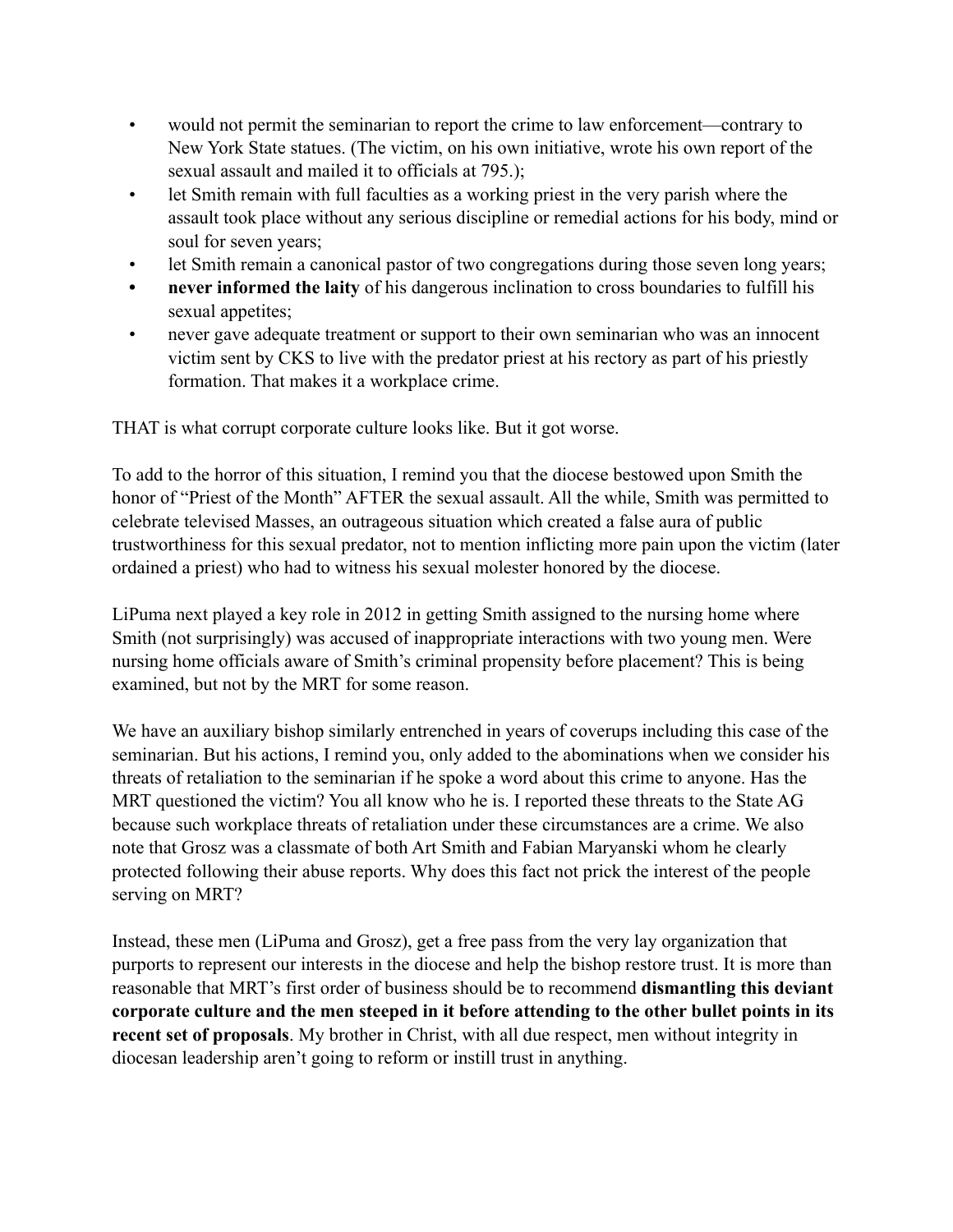- would not permit the seminarian to report the crime to law enforcement—contrary to New York State statues. (The victim, on his own initiative, wrote his own report of the sexual assault and mailed it to officials at 795.);
- let Smith remain with full faculties as a working priest in the very parish where the assault took place without any serious discipline or remedial actions for his body, mind or soul for seven years;
- let Smith remain a canonical pastor of two congregations during those seven long years;
- **never informed the laity** of his dangerous inclination to cross boundaries to fulfill his sexual appetites;
- never gave adequate treatment or support to their own seminarian who was an innocent victim sent by CKS to live with the predator priest at his rectory as part of his priestly formation. That makes it a workplace crime.

THAT is what corrupt corporate culture looks like. But it got worse.

To add to the horror of this situation, I remind you that the diocese bestowed upon Smith the honor of "Priest of the Month" AFTER the sexual assault. All the while, Smith was permitted to celebrate televised Masses, an outrageous situation which created a false aura of public trustworthiness for this sexual predator, not to mention inflicting more pain upon the victim (later ordained a priest) who had to witness his sexual molester honored by the diocese.

LiPuma next played a key role in 2012 in getting Smith assigned to the nursing home where Smith (not surprisingly) was accused of inappropriate interactions with two young men. Were nursing home officials aware of Smith's criminal propensity before placement? This is being examined, but not by the MRT for some reason.

We have an auxiliary bishop similarly entrenched in years of coverups including this case of the seminarian. But his actions, I remind you, only added to the abominations when we consider his threats of retaliation to the seminarian if he spoke a word about this crime to anyone. Has the MRT questioned the victim? You all know who he is. I reported these threats to the State AG because such workplace threats of retaliation under these circumstances are a crime. We also note that Grosz was a classmate of both Art Smith and Fabian Maryanski whom he clearly protected following their abuse reports. Why does this fact not prick the interest of the people serving on MRT?

Instead, these men (LiPuma and Grosz), get a free pass from the very lay organization that purports to represent our interests in the diocese and help the bishop restore trust. It is more than reasonable that MRT's first order of business should be to recommend **dismantling this deviant corporate culture and the men steeped in it before attending to the other bullet points in its recent set of proposals**. My brother in Christ, with all due respect, men without integrity in diocesan leadership aren't going to reform or instill trust in anything.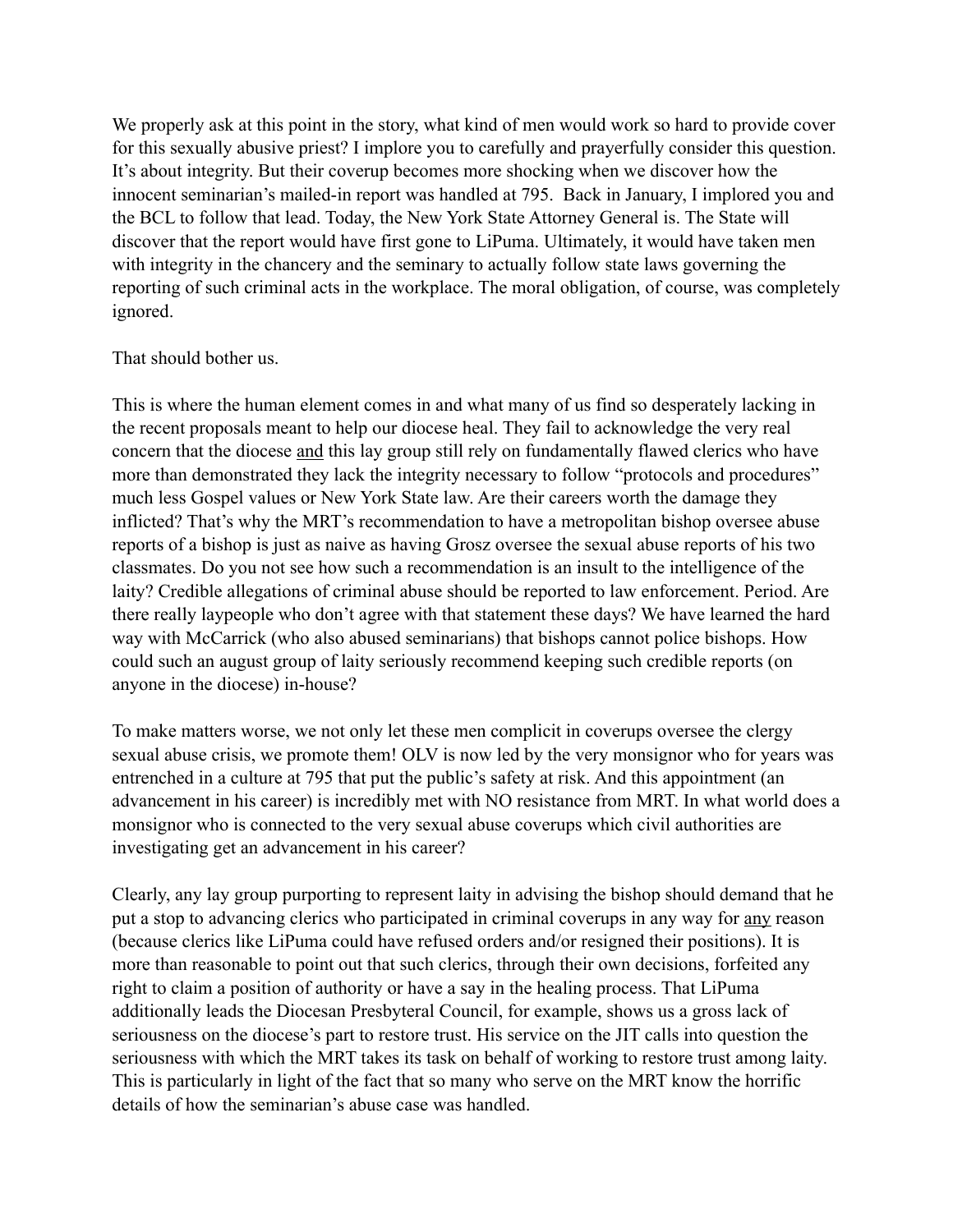We properly ask at this point in the story, what kind of men would work so hard to provide cover for this sexually abusive priest? I implore you to carefully and prayerfully consider this question. It's about integrity. But their coverup becomes more shocking when we discover how the innocent seminarian's mailed-in report was handled at 795. Back in January, I implored you and the BCL to follow that lead. Today, the New York State Attorney General is. The State will discover that the report would have first gone to LiPuma. Ultimately, it would have taken men with integrity in the chancery and the seminary to actually follow state laws governing the reporting of such criminal acts in the workplace. The moral obligation, of course, was completely ignored.

## That should bother us.

This is where the human element comes in and what many of us find so desperately lacking in the recent proposals meant to help our diocese heal. They fail to acknowledge the very real concern that the diocese and this lay group still rely on fundamentally flawed clerics who have more than demonstrated they lack the integrity necessary to follow "protocols and procedures" much less Gospel values or New York State law. Are their careers worth the damage they inflicted? That's why the MRT's recommendation to have a metropolitan bishop oversee abuse reports of a bishop is just as naive as having Grosz oversee the sexual abuse reports of his two classmates. Do you not see how such a recommendation is an insult to the intelligence of the laity? Credible allegations of criminal abuse should be reported to law enforcement. Period. Are there really laypeople who don't agree with that statement these days? We have learned the hard way with McCarrick (who also abused seminarians) that bishops cannot police bishops. How could such an august group of laity seriously recommend keeping such credible reports (on anyone in the diocese) in-house?

To make matters worse, we not only let these men complicit in coverups oversee the clergy sexual abuse crisis, we promote them! OLV is now led by the very monsignor who for years was entrenched in a culture at 795 that put the public's safety at risk. And this appointment (an advancement in his career) is incredibly met with NO resistance from MRT. In what world does a monsignor who is connected to the very sexual abuse coverups which civil authorities are investigating get an advancement in his career?

Clearly, any lay group purporting to represent laity in advising the bishop should demand that he put a stop to advancing clerics who participated in criminal coverups in any way for any reason (because clerics like LiPuma could have refused orders and/or resigned their positions). It is more than reasonable to point out that such clerics, through their own decisions, forfeited any right to claim a position of authority or have a say in the healing process. That LiPuma additionally leads the Diocesan Presbyteral Council, for example, shows us a gross lack of seriousness on the diocese's part to restore trust. His service on the JIT calls into question the seriousness with which the MRT takes its task on behalf of working to restore trust among laity. This is particularly in light of the fact that so many who serve on the MRT know the horrific details of how the seminarian's abuse case was handled.